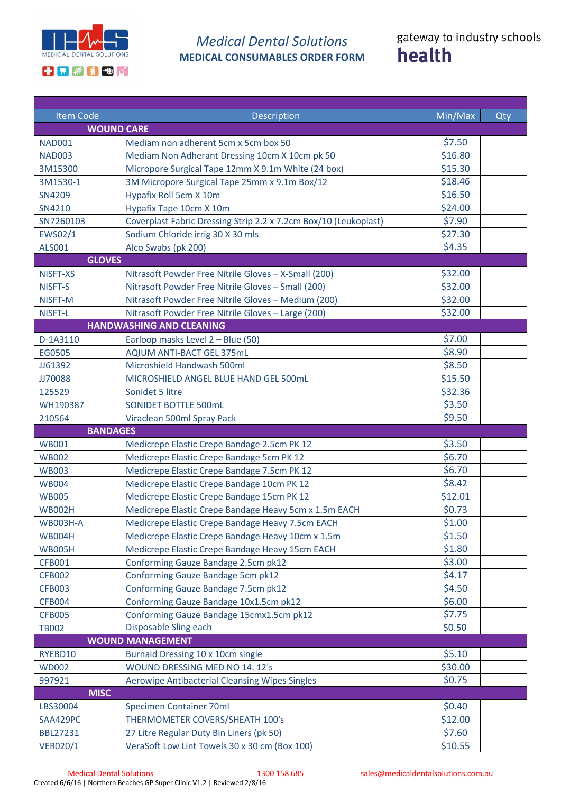

## *Medical Dental Solutions* **MEDICAL CONSUMABLES ORDER FORM**

| <b>Item Code</b>                | Description                                                                               | Min/Max | Qty |  |  |
|---------------------------------|-------------------------------------------------------------------------------------------|---------|-----|--|--|
|                                 | <b>WOUND CARE</b>                                                                         |         |     |  |  |
| <b>NAD001</b>                   | Mediam non adherent 5cm x 5cm box 50                                                      | \$7.50  |     |  |  |
| <b>NAD003</b>                   | Mediam Non Adherant Dressing 10cm X 10cm pk 50                                            | \$16.80 |     |  |  |
| 3M15300                         | Micropore Surgical Tape 12mm X 9.1m White (24 box)                                        | \$15.30 |     |  |  |
| 3M1530-1                        | 3M Micropore Surgical Tape 25mm x 9.1m Box/12                                             | \$18.46 |     |  |  |
| <b>SN4209</b>                   | Hypafix Roll 5cm X 10m                                                                    | \$16.50 |     |  |  |
| SN4210                          | Hypafix Tape 10cm X 10m                                                                   | \$24.00 |     |  |  |
| SN7260103                       | Coverplast Fabric Dressing Strip 2.2 x 7.2cm Box/10 (Leukoplast)                          | \$7.90  |     |  |  |
| EWS02/1                         | Sodium Chloride irrig 30 X 30 mls                                                         | \$27.30 |     |  |  |
| ALS001                          | Alco Swabs (pk 200)                                                                       | \$4.35  |     |  |  |
| <b>GLOVES</b>                   |                                                                                           |         |     |  |  |
| NISFT-XS                        | Nitrasoft Powder Free Nitrile Gloves - X-Small (200)                                      | \$32.00 |     |  |  |
| NISFT-S                         | Nitrasoft Powder Free Nitrile Gloves - Small (200)                                        | \$32.00 |     |  |  |
| NISFT-M                         | Nitrasoft Powder Free Nitrile Gloves - Medium (200)                                       | \$32.00 |     |  |  |
| NISFT-L                         | Nitrasoft Powder Free Nitrile Gloves - Large (200)                                        | \$32.00 |     |  |  |
| <b>HANDWASHING AND CLEANING</b> |                                                                                           |         |     |  |  |
| D-1A3110                        | Earloop masks Level 2 - Blue (50)                                                         | \$7.00  |     |  |  |
| EG0505                          | AQIUM ANTI-BACT GEL 375mL                                                                 | \$8.90  |     |  |  |
| JJ61392                         | Microshield Handwash 500ml                                                                | \$8.50  |     |  |  |
| JJ70088                         | MICROSHIELD ANGEL BLUE HAND GEL 500mL                                                     | \$15.50 |     |  |  |
| 125529                          | Sonidet 5 litre                                                                           | \$32.36 |     |  |  |
| WH190387                        | SONIDET BOTTLE 500mL                                                                      | \$3.50  |     |  |  |
| 210564                          | Viraclean 500ml Spray Pack                                                                | \$9.50  |     |  |  |
| <b>BANDAGES</b>                 |                                                                                           |         |     |  |  |
| <b>WB001</b>                    | Medicrepe Elastic Crepe Bandage 2.5cm PK 12                                               | \$3.50  |     |  |  |
| <b>WB002</b>                    | Medicrepe Elastic Crepe Bandage 5cm PK 12                                                 | \$6.70  |     |  |  |
| <b>WB003</b>                    | Medicrepe Elastic Crepe Bandage 7.5cm PK 12                                               | \$6.70  |     |  |  |
| <b>WB004</b>                    | Medicrepe Elastic Crepe Bandage 10cm PK 12                                                | \$8.42  |     |  |  |
| <b>WB005</b>                    | Medicrepe Elastic Crepe Bandage 15cm PK 12                                                | \$12.01 |     |  |  |
| <b>WB002H</b>                   | Medicrepe Elastic Crepe Bandage Heavy 5cm x 1.5m EACH                                     | \$0.73  |     |  |  |
| <b>WB003H-A</b>                 | Medicrepe Elastic Crepe Bandage Heavy 7.5cm EACH                                          | \$1.00  |     |  |  |
| <b>WB004H</b>                   | Medicrepe Elastic Crepe Bandage Heavy 10cm x 1.5m                                         | \$1.50  |     |  |  |
| <b>WB005H</b>                   | Medicrepe Elastic Crepe Bandage Heavy 15cm EACH                                           | \$1.80  |     |  |  |
| <b>CFB001</b>                   | Conforming Gauze Bandage 2.5cm pk12                                                       | \$3.00  |     |  |  |
| <b>CFB002</b>                   | Conforming Gauze Bandage 5cm pk12                                                         | \$4.17  |     |  |  |
| <b>CFB003</b>                   | Conforming Gauze Bandage 7.5cm pk12                                                       | \$4.50  |     |  |  |
| <b>CFB004</b>                   | Conforming Gauze Bandage 10x1.5cm pk12                                                    | \$6.00  |     |  |  |
| <b>CFB005</b>                   | Conforming Gauze Bandage 15cmx1.5cm pk12                                                  | \$7.75  |     |  |  |
| <b>TB002</b>                    | Disposable Sling each                                                                     | \$0.50  |     |  |  |
|                                 | <b>WOUND MANAGEMENT</b>                                                                   |         |     |  |  |
| RYEBD10                         | Burnaid Dressing 10 x 10cm single                                                         | \$5.10  |     |  |  |
| <b>WD002</b>                    | WOUND DRESSING MED NO 14. 12's                                                            | \$30.00 |     |  |  |
| 997921                          | Aerowipe Antibacterial Cleansing Wipes Singles                                            | \$0.75  |     |  |  |
| <b>MISC</b>                     |                                                                                           |         |     |  |  |
| LBS30004                        | <b>Specimen Container 70ml</b>                                                            | \$0.40  |     |  |  |
| SAA429PC                        | THERMOMETER COVERS/SHEATH 100's                                                           | \$12.00 |     |  |  |
| <b>BBL27231</b>                 |                                                                                           | \$7.60  |     |  |  |
| <b>VER020/1</b>                 | 27 Litre Regular Duty Bin Liners (pk 50)<br>VeraSoft Low Lint Towels 30 x 30 cm (Box 100) | \$10.55 |     |  |  |
|                                 |                                                                                           |         |     |  |  |